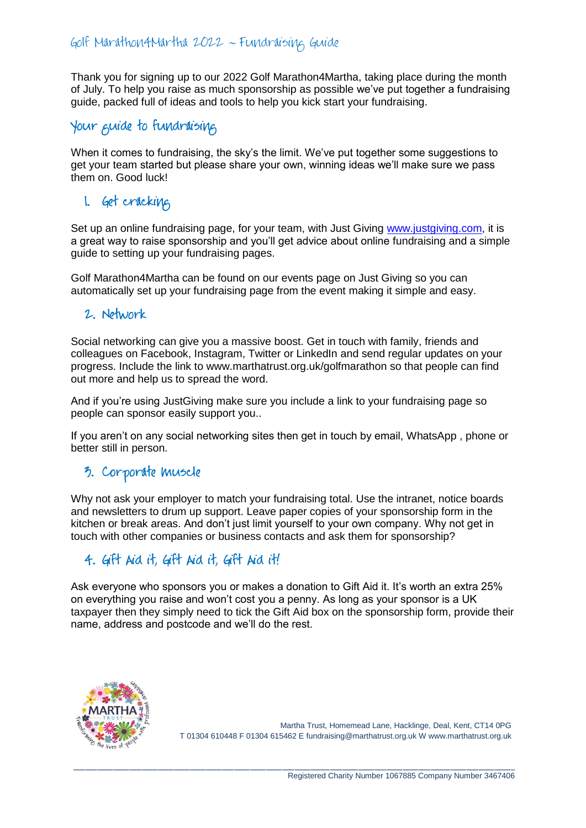Thank you for signing up to our 2022 Golf Marathon4Martha, taking place during the month of July. To help you raise as much sponsorship as possible we've put together a fundraising guide, packed full of ideas and tools to help you kick start your fundraising.

## Your guide to fundraising

When it comes to fundraising, the sky's the limit. We've put together some suggestions to get your team started but please share your own, winning ideas we'll make sure we pass them on. Good luck!

## 1. Get cracking

Set up an online fundraising page, for your team, with Just Giving [www.justgiving.com,](http://www.justgiving.com/) it is a great way to raise sponsorship and you'll get advice about online fundraising and a simple guide to setting up your fundraising pages.

Golf Marathon4Martha can be found on our events page on Just Giving so you can automatically set up your fundraising page from the event making it simple and easy.

#### 2. Network

Social networking can give you a massive boost. Get in touch with family, friends and colleagues on Facebook, Instagram, Twitter or LinkedIn and send regular updates on your progress. Include the link to www.marthatrust.org.uk/golfmarathon so that people can find out more and help us to spread the word.

And if you're using JustGiving make sure you include a link to your fundraising page so people can sponsor easily support you..

If you aren't on any social networking sites then get in touch by email, WhatsApp , phone or better still in person.

# 3. Corporate muscle

Why not ask your employer to match your fundraising total. Use the intranet, notice boards and newsletters to drum up support. Leave paper copies of your sponsorship form in the kitchen or break areas. And don't just limit yourself to your own company. Why not get in touch with other companies or business contacts and ask them for sponsorship?

## 4. Gift Aid it, Gift Aid it, Gift Aid it!

Ask everyone who sponsors you or makes a donation to Gift Aid it. It's worth an extra 25% on everything you raise and won't cost you a penny. As long as your sponsor is a UK taxpayer then they simply need to tick the Gift Aid box on the sponsorship form, provide their name, address and postcode and we'll do the rest.

\_\_\_\_\_\_\_\_\_\_\_\_\_\_\_\_\_\_\_\_\_\_\_\_\_\_\_\_\_\_\_\_\_\_\_\_\_\_\_\_\_\_\_\_\_\_\_\_\_\_\_\_\_\_\_\_\_\_\_\_\_\_\_\_\_\_\_\_\_\_\_\_\_\_\_\_\_\_\_\_\_\_\_\_\_\_\_\_\_\_\_\_\_\_\_\_\_\_\_\_\_\_\_\_\_\_\_\_\_\_



Martha Trust, Homemead Lane, Hacklinge, Deal, Kent, CT14 0PG T 01304 610448 F 01304 615462 E [fundraising@marthatrust.org.uk](mailto:fundraising@marthatrust.org.uk) W www.marthatrust.org.uk